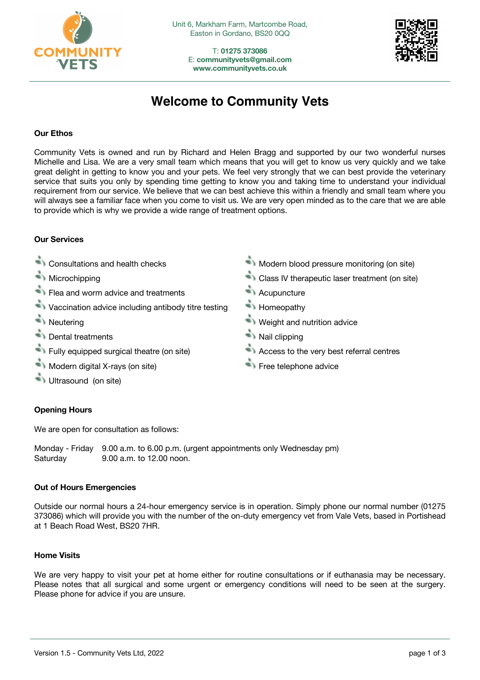

T: **01275 373086** E: **communityvets@gmail.com www.communityvets.co.uk**



# **Welcome to Community Vets**

## **Our Ethos**

Community Vets is owned and run by Richard and Helen Bragg and supported by our two wonderful nurses Michelle and Lisa. We are a very small team which means that you will get to know us very quickly and we take great delight in getting to know you and your pets. We feel very strongly that we can best provide the veterinary service that suits you only by spending time getting to know you and taking time to understand your individual requirement from our service. We believe that we can best achieve this within a friendly and small team where you will always see a familiar face when you come to visit us. We are very open minded as to the care that we are able to provide which is why we provide a wide range of treatment options.

# **Our Services**

- 
- 
- Flea and worm advice and treatments **Acupuncture**
- $\blacktriangleright$  Vaccination advice including antibody titre testing Homeopathy
- 
- **Example 1** Dental treatments **National Example 2** Nail clipping
- Fully equipped surgical theatre (on site) Access to the very best referral centres
- **Modern digital X-rays (on site)** Free telephone advice
- Ultrasound (on site)

# **Opening Hours**

We are open for consultation as follows:

Monday - Friday 9.00 a.m. to 6.00 p.m. (urgent appointments only Wednesday pm) Saturday 9.00 a.m. to 12.00 noon.

## **Out of Hours Emergencies**

Outside our normal hours a 24-hour emergency service is in operation. Simply phone our normal number (01275 373086) which will provide you with the number of the on-duty emergency vet from Vale Vets, based in Portishead at 1 Beach Road West, BS20 7HR.

## **Home Visits**

We are very happy to visit your pet at home either for routine consultations or if euthanasia may be necessary. Please notes that all surgical and some urgent or emergency conditions will need to be seen at the surgery. Please phone for advice if you are unsure.

- Consultations and health checks Modern blood pressure monitoring (on site)
- **Microchipping Class IV therapeutic laser treatment (on site)** 
	-
	-
- **Neutering Weight and nutrition advice** 
	-
	-
	-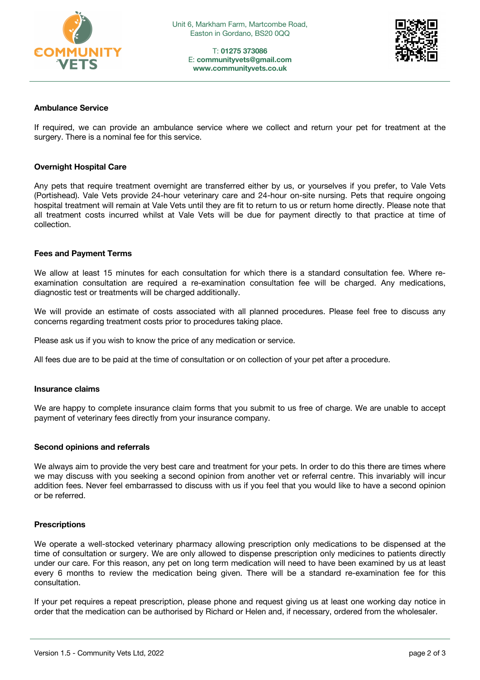

T: **01275 373086** E: **communityvets@gmail.com www.communityvets.co.uk**



#### **Ambulance Service**

If required, we can provide an ambulance service where we collect and return your pet for treatment at the surgery. There is a nominal fee for this service.

#### **Overnight Hospital Care**

Any pets that require treatment overnight are transferred either by us, or yourselves if you prefer, to Vale Vets (Portishead). Vale Vets provide 24-hour veterinary care and 24-hour on-site nursing. Pets that require ongoing hospital treatment will remain at Vale Vets until they are fit to return to us or return home directly. Please note that all treatment costs incurred whilst at Vale Vets will be due for payment directly to that practice at time of collection.

#### **Fees and Payment Terms**

We allow at least 15 minutes for each consultation for which there is a standard consultation fee. Where reexamination consultation are required a re-examination consultation fee will be charged. Any medications, diagnostic test or treatments will be charged additionally.

We will provide an estimate of costs associated with all planned procedures. Please feel free to discuss any concerns regarding treatment costs prior to procedures taking place.

Please ask us if you wish to know the price of any medication or service.

All fees due are to be paid at the time of consultation or on collection of your pet after a procedure.

#### **Insurance claims**

We are happy to complete insurance claim forms that you submit to us free of charge. We are unable to accept payment of veterinary fees directly from your insurance company.

#### **Second opinions and referrals**

We always aim to provide the very best care and treatment for your pets. In order to do this there are times where we may discuss with you seeking a second opinion from another vet or referral centre. This invariably will incur addition fees. Never feel embarrassed to discuss with us if you feel that you would like to have a second opinion or be referred.

#### **Prescriptions**

We operate a well-stocked veterinary pharmacy allowing prescription only medications to be dispensed at the time of consultation or surgery. We are only allowed to dispense prescription only medicines to patients directly under our care. For this reason, any pet on long term medication will need to have been examined by us at least every 6 months to review the medication being given. There will be a standard re-examination fee for this consultation.

If your pet requires a repeat prescription, please phone and request giving us at least one working day notice in order that the medication can be authorised by Richard or Helen and, if necessary, ordered from the wholesaler.